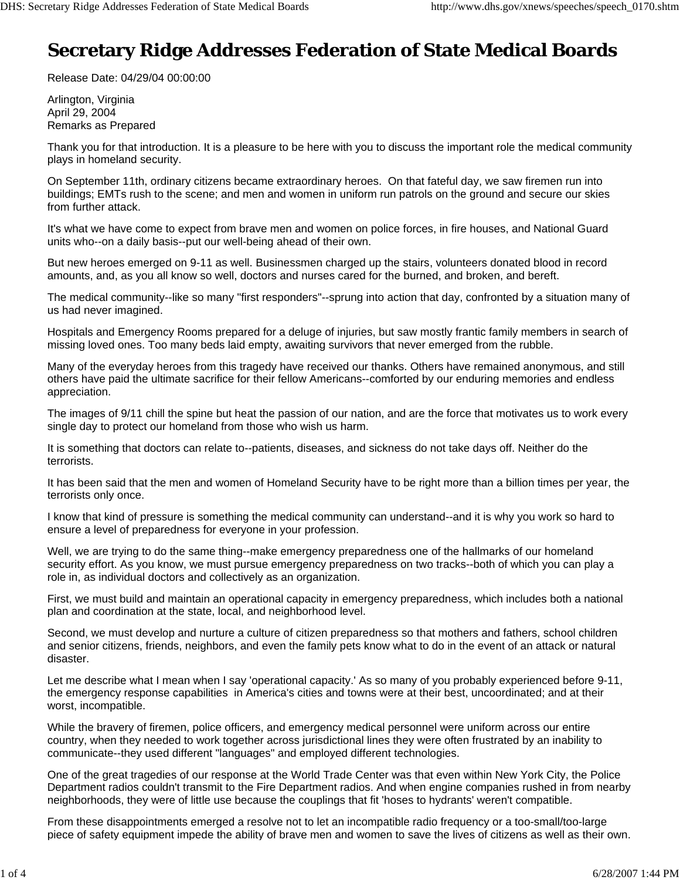## **Secretary Ridge Addresses Federation of State Medical Boards**

Release Date: 04/29/04 00:00:00

Arlington, Virginia April 29, 2004 Remarks as Prepared

Thank you for that introduction. It is a pleasure to be here with you to discuss the important role the medical community plays in homeland security.

On September 11th, ordinary citizens became extraordinary heroes. On that fateful day, we saw firemen run into buildings; EMTs rush to the scene; and men and women in uniform run patrols on the ground and secure our skies from further attack.

It's what we have come to expect from brave men and women on police forces, in fire houses, and National Guard units who--on a daily basis--put our well-being ahead of their own.

But new heroes emerged on 9-11 as well. Businessmen charged up the stairs, volunteers donated blood in record amounts, and, as you all know so well, doctors and nurses cared for the burned, and broken, and bereft.

The medical community--like so many "first responders"--sprung into action that day, confronted by a situation many of us had never imagined.

Hospitals and Emergency Rooms prepared for a deluge of injuries, but saw mostly frantic family members in search of missing loved ones. Too many beds laid empty, awaiting survivors that never emerged from the rubble.

Many of the everyday heroes from this tragedy have received our thanks. Others have remained anonymous, and still others have paid the ultimate sacrifice for their fellow Americans--comforted by our enduring memories and endless appreciation.

The images of 9/11 chill the spine but heat the passion of our nation, and are the force that motivates us to work every single day to protect our homeland from those who wish us harm.

It is something that doctors can relate to--patients, diseases, and sickness do not take days off. Neither do the terrorists.

It has been said that the men and women of Homeland Security have to be right more than a billion times per year, the terrorists only once.

I know that kind of pressure is something the medical community can understand--and it is why you work so hard to ensure a level of preparedness for everyone in your profession.

Well, we are trying to do the same thing--make emergency preparedness one of the hallmarks of our homeland security effort. As you know, we must pursue emergency preparedness on two tracks--both of which you can play a role in, as individual doctors and collectively as an organization.

First, we must build and maintain an operational capacity in emergency preparedness, which includes both a national plan and coordination at the state, local, and neighborhood level.

Second, we must develop and nurture a culture of citizen preparedness so that mothers and fathers, school children and senior citizens, friends, neighbors, and even the family pets know what to do in the event of an attack or natural disaster.

Let me describe what I mean when I say 'operational capacity.' As so many of you probably experienced before 9-11, the emergency response capabilities in America's cities and towns were at their best, uncoordinated; and at their worst, incompatible.

While the bravery of firemen, police officers, and emergency medical personnel were uniform across our entire country, when they needed to work together across jurisdictional lines they were often frustrated by an inability to communicate--they used different "languages" and employed different technologies.

One of the great tragedies of our response at the World Trade Center was that even within New York City, the Police Department radios couldn't transmit to the Fire Department radios. And when engine companies rushed in from nearby neighborhoods, they were of little use because the couplings that fit 'hoses to hydrants' weren't compatible.

From these disappointments emerged a resolve not to let an incompatible radio frequency or a too-small/too-large piece of safety equipment impede the ability of brave men and women to save the lives of citizens as well as their own.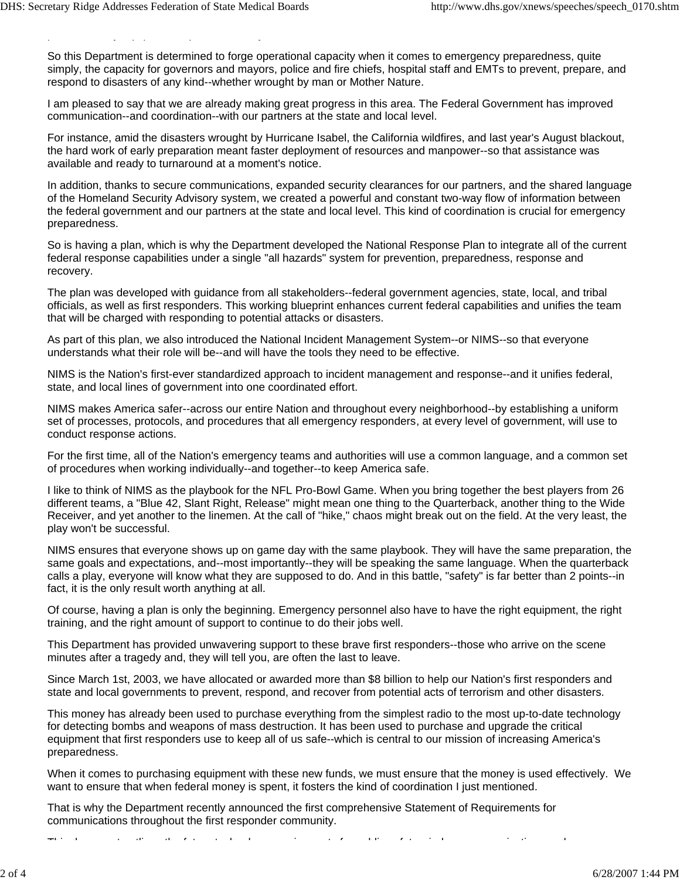p you have a set of the set of the set of the set of the set of the set of the set of the set of the set of th<br>In the set of the set of the set of the set of the set of the set of the set of the set of the set of the set

So this Department is determined to forge operational capacity when it comes to emergency preparedness, quite simply, the capacity for governors and mayors, police and fire chiefs, hospital staff and EMTs to prevent, prepare, and respond to disasters of any kind--whether wrought by man or Mother Nature.

I am pleased to say that we are already making great progress in this area. The Federal Government has improved communication--and coordination--with our partners at the state and local level.

For instance, amid the disasters wrought by Hurricane Isabel, the California wildfires, and last year's August blackout, the hard work of early preparation meant faster deployment of resources and manpower--so that assistance was available and ready to turnaround at a moment's notice.

In addition, thanks to secure communications, expanded security clearances for our partners, and the shared language of the Homeland Security Advisory system, we created a powerful and constant two-way flow of information between the federal government and our partners at the state and local level. This kind of coordination is crucial for emergency preparedness.

So is having a plan, which is why the Department developed the National Response Plan to integrate all of the current federal response capabilities under a single "all hazards" system for prevention, preparedness, response and recovery.

The plan was developed with guidance from all stakeholders--federal government agencies, state, local, and tribal officials, as well as first responders. This working blueprint enhances current federal capabilities and unifies the team that will be charged with responding to potential attacks or disasters.

As part of this plan, we also introduced the National Incident Management System--or NIMS--so that everyone understands what their role will be--and will have the tools they need to be effective.

NIMS is the Nation's first-ever standardized approach to incident management and response--and it unifies federal, state, and local lines of government into one coordinated effort.

NIMS makes America safer--across our entire Nation and throughout every neighborhood--by establishing a uniform set of processes, protocols, and procedures that all emergency responders, at every level of government, will use to conduct response actions.

For the first time, all of the Nation's emergency teams and authorities will use a common language, and a common set of procedures when working individually--and together--to keep America safe.

I like to think of NIMS as the playbook for the NFL Pro-Bowl Game. When you bring together the best players from 26 different teams, a "Blue 42, Slant Right, Release" might mean one thing to the Quarterback, another thing to the Wide Receiver, and yet another to the linemen. At the call of "hike," chaos might break out on the field. At the very least, the play won't be successful.

NIMS ensures that everyone shows up on game day with the same playbook. They will have the same preparation, the same goals and expectations, and--most importantly--they will be speaking the same language. When the quarterback calls a play, everyone will know what they are supposed to do. And in this battle, "safety" is far better than 2 points--in fact, it is the only result worth anything at all.

Of course, having a plan is only the beginning. Emergency personnel also have to have the right equipment, the right training, and the right amount of support to continue to do their jobs well.

This Department has provided unwavering support to these brave first responders--those who arrive on the scene minutes after a tragedy and, they will tell you, are often the last to leave.

Since March 1st, 2003, we have allocated or awarded more than \$8 billion to help our Nation's first responders and state and local governments to prevent, respond, and recover from potential acts of terrorism and other disasters.

This money has already been used to purchase everything from the simplest radio to the most up-to-date technology for detecting bombs and weapons of mass destruction. It has been used to purchase and upgrade the critical equipment that first responders use to keep all of us safe--which is central to our mission of increasing America's preparedness.

When it comes to purchasing equipment with these new funds, we must ensure that the money is used effectively. We want to ensure that when federal money is spent, it fosters the kind of coordination I just mentioned.

That is why the Department recently announced the first comprehensive Statement of Requirements for communications throughout the first responder community.

This distribution of the first term of the trial distribution of the first term of the second control of the s<br>This distribution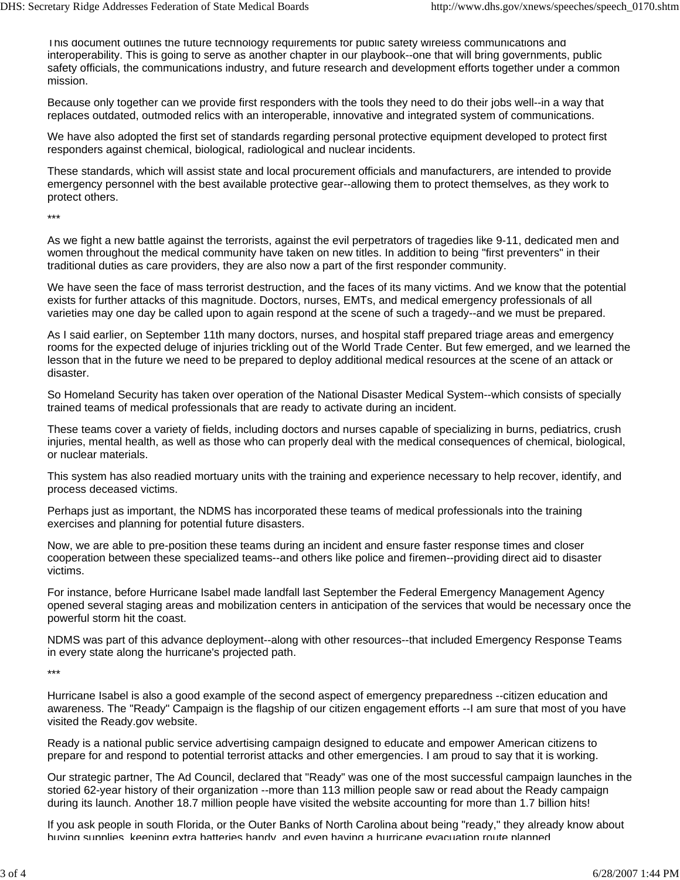This document outlines the future technology requirements for public safety wireless communications and interoperability. This is going to serve as another chapter in our playbook--one that will bring governments, public safety officials, the communications industry, and future research and development efforts together under a common mission.

Because only together can we provide first responders with the tools they need to do their jobs well--in a way that replaces outdated, outmoded relics with an interoperable, innovative and integrated system of communications.

We have also adopted the first set of standards regarding personal protective equipment developed to protect first responders against chemical, biological, radiological and nuclear incidents.

These standards, which will assist state and local procurement officials and manufacturers, are intended to provide emergency personnel with the best available protective gear--allowing them to protect themselves, as they work to protect others.

\*\*\*

As we fight a new battle against the terrorists, against the evil perpetrators of tragedies like 9-11, dedicated men and women throughout the medical community have taken on new titles. In addition to being "first preventers" in their traditional duties as care providers, they are also now a part of the first responder community.

We have seen the face of mass terrorist destruction, and the faces of its many victims. And we know that the potential exists for further attacks of this magnitude. Doctors, nurses, EMTs, and medical emergency professionals of all varieties may one day be called upon to again respond at the scene of such a tragedy--and we must be prepared.

As I said earlier, on September 11th many doctors, nurses, and hospital staff prepared triage areas and emergency rooms for the expected deluge of injuries trickling out of the World Trade Center. But few emerged, and we learned the lesson that in the future we need to be prepared to deploy additional medical resources at the scene of an attack or disaster.

So Homeland Security has taken over operation of the National Disaster Medical System--which consists of specially trained teams of medical professionals that are ready to activate during an incident.

These teams cover a variety of fields, including doctors and nurses capable of specializing in burns, pediatrics, crush injuries, mental health, as well as those who can properly deal with the medical consequences of chemical, biological, or nuclear materials.

This system has also readied mortuary units with the training and experience necessary to help recover, identify, and process deceased victims.

Perhaps just as important, the NDMS has incorporated these teams of medical professionals into the training exercises and planning for potential future disasters.

Now, we are able to pre-position these teams during an incident and ensure faster response times and closer cooperation between these specialized teams--and others like police and firemen--providing direct aid to disaster victims.

For instance, before Hurricane Isabel made landfall last September the Federal Emergency Management Agency opened several staging areas and mobilization centers in anticipation of the services that would be necessary once the powerful storm hit the coast.

NDMS was part of this advance deployment--along with other resources--that included Emergency Response Teams in every state along the hurricane's projected path.

\*\*\*

Hurricane Isabel is also a good example of the second aspect of emergency preparedness --citizen education and awareness. The "Ready" Campaign is the flagship of our citizen engagement efforts --I am sure that most of you have visited the Ready.gov website.

Ready is a national public service advertising campaign designed to educate and empower American citizens to prepare for and respond to potential terrorist attacks and other emergencies. I am proud to say that it is working.

Our strategic partner, The Ad Council, declared that "Ready" was one of the most successful campaign launches in the storied 62-year history of their organization --more than 113 million people saw or read about the Ready campaign during its launch. Another 18.7 million people have visited the website accounting for more than 1.7 billion hits!

If you ask people in south Florida, or the Outer Banks of North Carolina about being "ready," they already know about buying supplies keeping extra batteries handy and even having a hurricane evacuation route planned